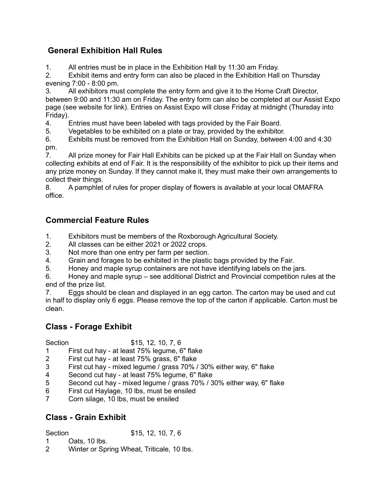# General Exhibition Hall Rules

1. All entries must be in place in the Exhibition Hall by 11:30 am Friday.

2. Exhibit items and entry form can also be placed in the Exhibition Hall on Thursday evening 7:00 - 8:00 pm.

3. All exhibitors must complete the entry form and give it to the Home Craft Director, between 9:00 and 11:30 am on Friday. The entry form can also be completed at our Assist Expo page (see website for link). Entries on Assist Expo will close Friday at midnight (Thursday into Friday).

4. Entries must have been labeled with tags provided by the Fair Board.

5. Vegetables to be exhibited on a plate or tray, provided by the exhibitor.

6. Exhibits must be removed from the Exhibition Hall on Sunday, between 4:00 and 4:30 pm.

7. All prize money for Fair Hall Exhibits can be picked up at the Fair Hall on Sunday when collecting exhibits at end of Fair. It is the responsibility of the exhibitor to pick up their items and any prize money on Sunday. If they cannot make it, they must make their own arrangements to collect their things.

8. A pamphlet of rules for proper display of flowers is available at your local OMAFRA office.

# Commercial Feature Rules

1. Exhibitors must be members of the Roxborough Agricultural Society.<br>2. All classes can be either 2021 or 2022 crops.

All classes can be either 2021 or 2022 crops.

3. Not more than one entry per farm per section.

4. Grain and forages to be exhibited in the plastic bags provided by the Fair.

5. Honey and maple syrup containers are not have identifying labels on the jars.

6. Honey and maple syrup – see additional District and Provincial competition rules at the end of the prize list.

7. Eggs should be clean and displayed in an egg carton. The carton may be used and cut in half to display only 6 eggs. Please remove the top of the carton if applicable. Carton must be clean.

# Class - Forage Exhibit

Section \$15, 12, 10, 7, 6

- 1 First cut hay at least 75% legume, 6" flake
- 2 First cut hay at least 75% grass, 6" flake
- 3 First cut hay mixed legume / grass 70% / 30% either way, 6" flake
- 4 Second cut hay at least 75% legume, 6" flake
- 5 Second cut hay mixed legume / grass 70% / 30% either way, 6" flake
- 6 First cut Haylage, 10 lbs, must be ensiled
- Corn silage, 10 lbs, must be ensiled

# Class - Grain Exhibit

Section \$15, 12, 10, 7, 6

- 1 Oats, 10 lbs.
- 2 Winter or Spring Wheat, Triticale, 10 lbs.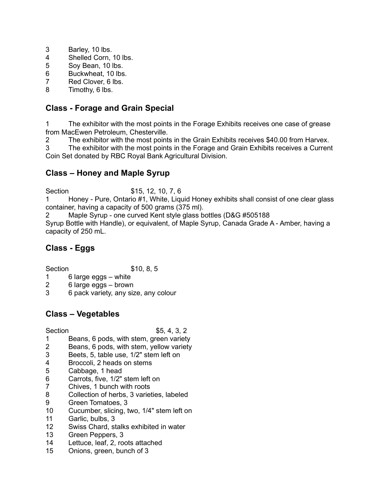- 3 Barley, 10 lbs.
- 4 Shelled Corn, 10 lbs.
- 5 Soy Bean, 10 lbs.
- 6 Buckwheat, 10 lbs.<br>7 Red Clover 6 lbs
- Red Clover, 6 lbs.
- 8 Timothy, 6 lbs.

### Class - Forage and Grain Special

1 The exhibitor with the most points in the Forage Exhibits receives one case of grease from MacEwen Petroleum, Chesterville.

2 The exhibitor with the most points in the Grain Exhibits receives \$40.00 from Harvex.

3 The exhibitor with the most points in the Forage and Grain Exhibits receives a Current Coin Set donated by RBC Royal Bank Agricultural Division.

## Class – Honey and Maple Syrup

Section \$15, 12, 10, 7, 6

1 Honey - Pure, Ontario #1, White, Liquid Honey exhibits shall consist of one clear glass container, having a capacity of 500 grams (375 ml).

2 Maple Syrup - one curved Kent style glass bottles (D&G #505188 Syrup Bottle with Handle), or equivalent, of Maple Syrup, Canada Grade A - Amber, having a capacity of 250 mL.

# Class - Eggs

Section \$10, 8, 5

- 1 6 large eggs white
- 2 6 large eggs brown
- 3 6 pack variety, any size, any colour

## Class – Vegetables

- 1 Beans, 6 pods, with stem, green variety
- 2 Beans, 6 pods, with stem, yellow variety
- 3 Beets, 5, table use, 1/2" stem left on
- 4 Broccoli, 2 heads on stems
- 5 Cabbage, 1 head
- 6 Carrots, five, 1/2" stem left on
- 7 Chives, 1 bunch with roots
- 8 Collection of herbs, 3 varieties, labeled
- 9 Green Tomatoes, 3
- 10 Cucumber, slicing, two, 1/4" stem left on
- 11 Garlic, bulbs, 3
- 12 Swiss Chard, stalks exhibited in water
- 13 Green Peppers, 3
- 14 Lettuce, leaf, 2, roots attached
- 15 Onions, green, bunch of 3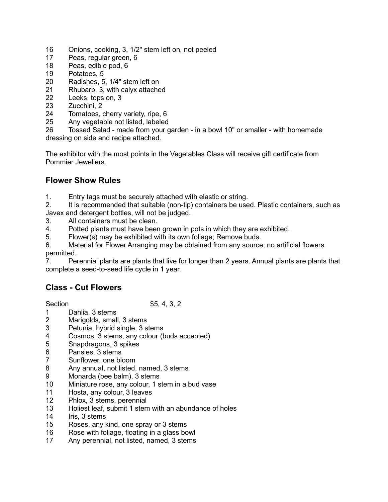- 16 Onions, cooking, 3, 1/2" stem left on, not peeled
- 17 Peas, regular green, 6
- 18 Peas, edible pod, 6
- 19 Potatoes, 5
- 20 Radishes, 5, 1/4" stem left on
- 21 Rhubarb, 3, with calyx attached
- 22 Leeks, tops on, 3
- 23 Zucchini, 2
- 24 Tomatoes, cherry variety, ripe, 6
- 25 Any vegetable not listed, labeled

26 Tossed Salad - made from your garden - in a bowl 10" or smaller - with homemade dressing on side and recipe attached.

The exhibitor with the most points in the Vegetables Class will receive gift certificate from Pommier Jewellers.

## Flower Show Rules

1. Entry tags must be securely attached with elastic or string.

2. It is recommended that suitable (non-tip) containers be used. Plastic containers, such as Javex and detergent bottles, will not be judged.

- 3. All containers must be clean.
- 4. Potted plants must have been grown in pots in which they are exhibited.
- 5. Flower(s) may be exhibited with its own foliage; Remove buds.
- 6. Material for Flower Arranging may be obtained from any source; no artificial flowers permitted.

7. Perennial plants are plants that live for longer than 2 years. Annual plants are plants that complete a seed-to-seed life cycle in 1 year.

# Class - Cut Flowers

- 1 Dahlia, 3 stems
- 2 Marigolds, small, 3 stems
- 3 Petunia, hybrid single, 3 stems
- 4 Cosmos, 3 stems, any colour (buds accepted)
- 5 Snapdragons, 3 spikes
- 6 Pansies, 3 stems
- 7 Sunflower, one bloom
- 8 Any annual, not listed, named, 3 stems
- 9 Monarda (bee balm), 3 stems<br>10 Miniature rose, any colour, 1 s
- Miniature rose, any colour, 1 stem in a bud vase
- 11 Hosta, any colour, 3 leaves
- 12 Phlox, 3 stems, perennial
- 13 Holiest leaf, submit 1 stem with an abundance of holes
- 14 Iris, 3 stems
- 15 Roses, any kind, one spray or 3 stems
- 16 Rose with foliage, floating in a glass bowl
- 17 Any perennial, not listed, named, 3 stems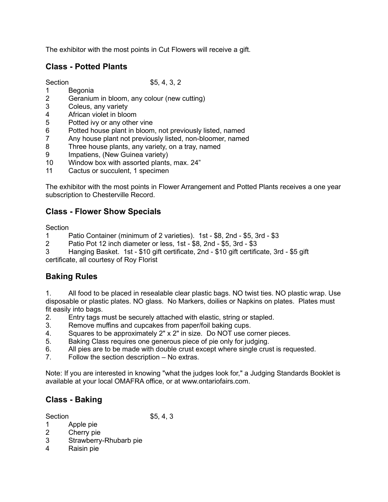The exhibitor with the most points in Cut Flowers will receive a gift.

# Class - Potted Plants

Section \$5, 4, 3, 2

- 1 Begonia
- 2 Geranium in bloom, any colour (new cutting)
- 3 Coleus, any variety
- 4 African violet in bloom<br>5 Potted ivv or anv other
- Potted ivy or any other vine
- 6 Potted house plant in bloom, not previously listed, named
- 7 Any house plant not previously listed, non-bloomer, named
- 8 Three house plants, any variety, on a tray, named
- 9 Impatiens, (New Guinea variety)
- 10 Window box with assorted plants, max. 24"
- 11 Cactus or succulent, 1 specimen

The exhibitor with the most points in Flower Arrangement and Potted Plants receives a one year subscription to Chesterville Record.

## Class - Flower Show Specials

**Section** 

- 1 Patio Container (minimum of 2 varieties). 1st \$8, 2nd \$5, 3rd \$3
- 2 Patio Pot 12 inch diameter or less, 1st \$8, 2nd \$5, 3rd \$3
- 3 Hanging Basket. 1st \$10 gift certificate, 2nd \$10 gift certificate, 3rd \$5 gift certificate, all courtesy of Roy Florist

## Baking Rules

1. All food to be placed in resealable clear plastic bags. NO twist ties. NO plastic wrap. Use disposable or plastic plates. NO glass. No Markers, doilies or Napkins on plates. Plates must fit easily into bags.

- 2. Entry tags must be securely attached with elastic, string or stapled.
- 3. Remove muffins and cupcakes from paper/foil baking cups.
- 4. Squares to be approximately 2" x 2" in size. Do NOT use corner pieces.
- 5. Baking Class requires one generous piece of pie only for judging.
- 6. All pies are to be made with double crust except where single crust is requested.
- 7. Follow the section description No extras.

Note: If you are interested in knowing "what the judges look for," a Judging Standards Booklet is available at your local OMAFRA office, or at www.ontariofairs.com.

# Class - Baking

- 1 Apple pie
- 2 Cherry pie
- 3 Strawberry-Rhubarb pie
- 4 Raisin pie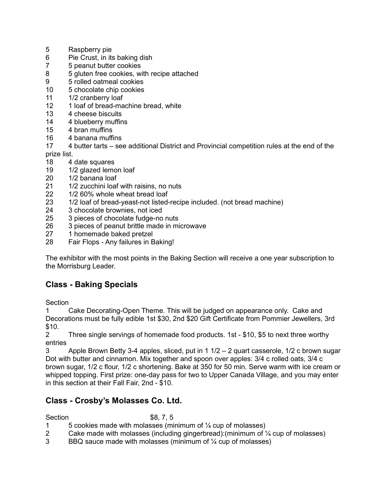- 5 Raspberry pie
- 6 Pie Crust, in its baking dish
- 7 5 peanut butter cookies
- 8 5 gluten free cookies, with recipe attached
- 9 5 rolled oatmeal cookies
- 10 5 chocolate chip cookies
- 11 1/2 cranberry loaf
- 12 1 loaf of bread-machine bread, white
- 13 4 cheese biscuits
- 14 4 blueberry muffins
- 15 4 bran muffins
- 16 4 banana muffins
- 17 4 butter tarts see additional District and Provincial competition rules at the end of the prize list.
- 18 4 date squares
- 19 1/2 glazed lemon loaf
- 20 1/2 banana loaf
- 21 1/2 zucchini loaf with raisins, no nuts<br>22 1/2 60% whole wheat bread loaf
- 1/2 60% whole wheat bread loaf
- 23 1/2 loaf of bread-yeast-not listed-recipe included. (not bread machine)
- 24 3 chocolate brownies, not iced
- 25 3 pieces of chocolate fudge-no nuts
- 26 3 pieces of peanut brittle made in microwave
- 27 1 homemade baked pretzel
- 28 Fair Flops Any failures in Baking!

The exhibitor with the most points in the Baking Section will receive a one year subscription to the Morrisburg Leader.

## Class - Baking Specials

**Section** 

1 Cake Decorating-Open Theme. This will be judged on appearance only. Cake and Decorations must be fully edible 1st \$30, 2nd \$20 Gift Certificate from Pommier Jewellers, 3rd  $$10.$ 

2 Three single servings of homemade food products. 1st - \$10, \$5 to next three worthy entries

3 Apple Brown Betty 3-4 apples, sliced, put in 1 1/2 – 2 quart casserole, 1/2 c brown sugar Dot with butter and cinnamon. Mix together and spoon over apples: 3/4 c rolled oats, 3/4 c brown sugar, 1/2 c flour, 1/2 c shortening. Bake at 350 for 50 min. Serve warm with ice cream or whipped topping. First prize: one-day pass for two to Upper Canada Village, and you may enter in this section at their Fall Fair, 2nd - \$10.

## Class - Crosby's Molasses Co. Ltd.

#### Section \$8, 7, 5

- 1  $5$  cookies made with molasses (minimum of  $\frac{1}{4}$  cup of molasses)
- 2 Cake made with molasses (including gingerbread):(minimum of ¼ cup of molasses)
- 3 BBQ sauce made with molasses (minimum of ¼ cup of molasses)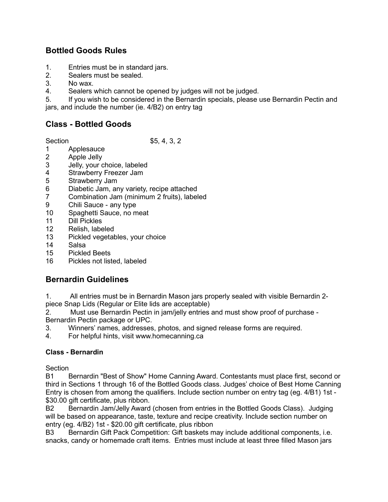### Bottled Goods Rules

- 1. Entries must be in standard jars.
- 2. Sealers must be sealed.
- 3. No wax.
- 4. Sealers which cannot be opened by judges will not be judged.
- 5. If you wish to be considered in the Bernardin specials, please use Bernardin Pectin and
- jars, and include the number (ie. 4/B2) on entry tag

# Class - Bottled Goods

Section \$5, 4, 3, 2

- 1 Applesauce<br>2 Apple Jelly
- Apple Jelly
- 3 Jelly, your choice, labeled
- 4 Strawberry Freezer Jam
- 5 Strawberry Jam
- 6 Diabetic Jam, any variety, recipe attached
- 7 Combination Jam (minimum 2 fruits), labeled
- 9 Chili Sauce any type
- 10 Spaghetti Sauce, no meat
- 11 Dill Pickles
- 12 Relish, labeled
- 13 Pickled vegetables, your choice
- 14 Salsa
- 15 Pickled Beets
- 16 Pickles not listed, labeled

## Bernardin Guidelines

1. All entries must be in Bernardin Mason jars properly sealed with visible Bernardin 2 piece Snap Lids (Regular or Elite lids are acceptable)

2. Must use Bernardin Pectin in jam/jelly entries and must show proof of purchase - Bernardin Pectin package or UPC.

- 3. Winners' names, addresses, photos, and signed release forms are required.
- 4. For helpful hints, visit www.homecanning.ca

#### Class - Bernardin

**Section** 

B1 Bernardin "Best of Show" Home Canning Award. Contestants must place first, second or third in Sections 1 through 16 of the Bottled Goods class. Judges' choice of Best Home Canning Entry is chosen from among the qualifiers. Include section number on entry tag (eg. 4/B1) 1st - \$30.00 gift certificate, plus ribbon.

B2 Bernardin Jam/Jelly Award (chosen from entries in the Bottled Goods Class). Judging will be based on appearance, taste, texture and recipe creativity. Include section number on entry (eg. 4/B2) 1st - \$20.00 gift certificate, plus ribbon

B3 Bernardin Gift Pack Competition: Gift baskets may include additional components, i.e. snacks, candy or homemade craft items. Entries must include at least three filled Mason jars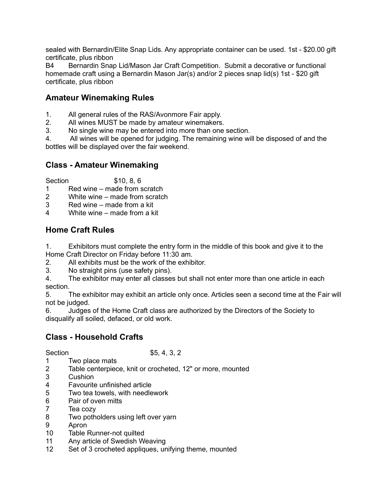sealed with Bernardin/Elite Snap Lids. Any appropriate container can be used. 1st - \$20.00 gift certificate, plus ribbon

B4 Bernardin Snap Lid/Mason Jar Craft Competition. Submit a decorative or functional homemade craft using a Bernardin Mason Jar(s) and/or 2 pieces snap lid(s) 1st - \$20 gift certificate, plus ribbon

### Amateur Winemaking Rules

- 1. All general rules of the RAS/Avonmore Fair apply.
- 2. All wines MUST be made by amateur winemakers.
- 3. No single wine may be entered into more than one section.

4. All wines will be opened for judging. The remaining wine will be disposed of and the bottles will be displayed over the fair weekend.

## Class - Amateur Winemaking

Section \$10, 8, 6

1 Red wine – made from scratch

- 2 White wine made from scratch
- 3 Red wine made from a kit
- 4 White wine made from a kit

## Home Craft Rules

1. Exhibitors must complete the entry form in the middle of this book and give it to the Home Craft Director on Friday before 11:30 am.

- 2. All exhibits must be the work of the exhibitor.
- 3. No straight pins (use safety pins).
- 4. The exhibitor may enter all classes but shall not enter more than one article in each section.

5. The exhibitor may exhibit an article only once. Articles seen a second time at the Fair will not be judged.

6. Judges of the Home Craft class are authorized by the Directors of the Society to disqualify all soiled, defaced, or old work.

### Class - Household Crafts

- 1 Two place mats
- 2 Table centerpiece, knit or crocheted, 12" or more, mounted
- 3 Cushion
- 4 Favourite unfinished article
- 5 Two tea towels, with needlework
- 6 Pair of oven mitts
- 7 Tea cozy
- 8 Two potholders using left over yarn
- 9 Apron
- 10 Table Runner-not quilted
- 11 Any article of Swedish Weaving
- 12 Set of 3 crocheted appliques, unifying theme, mounted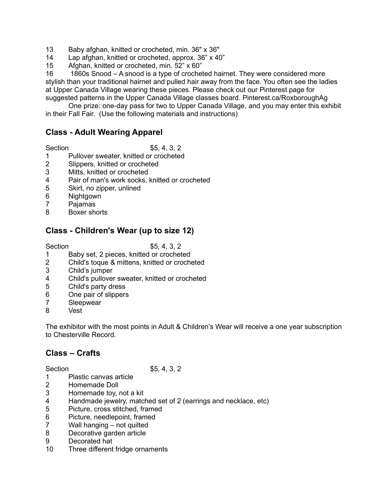- 13 Baby afghan, knitted or crocheted, min. 36" x 36"
- 14 Lap afghan, knitted or crocheted, approx. 36" x 40"
- 15 Afghan, knitted or crocheted, min. 52" x 60"

16 1860s Snood – A snood is a type of crocheted hairnet. They were considered more stylish than your traditional hairnet and pulled hair away from the face. You often see the ladies at Upper Canada Village wearing these pieces. Please check out our Pinterest page for suggested patterns in the Upper Canada Village classes board. Pinterest.ca/RoxboroughAg

 One prize: one-day pass for two to Upper Canada Village, and you may enter this exhibit in their Fall Fair. (Use the following materials and instructions)

### Class - Adult Wearing Apparel

Section \$5, 4, 3, 2

- 1 Pullover sweater, knitted or crocheted<br>2 Slippers, knitted or crocheted
- Slippers, knitted or crocheted
- 3 Mitts, knitted or crocheted
- 4 Pair of man's work socks, knitted or crocheted
- 5 Skirt, no zipper, unlined
- 6 Nightgown
- 7 Pajamas
- 8 Boxer shorts

### Class - Children's Wear (up to size 12)

Section \$5, 4, 3, 2

- 1 Baby set, 2 pieces, knitted or crocheted<br>2 Child's toque & mittens, knitted or croche
- 2 Child's toque & mittens, knitted or crocheted
- 3 Child's jumper
- 4 Child's pullover sweater, knitted or crocheted
- 5 Child's party dress
- 6 One pair of slippers
- 7 Sleepwear
- 8 Vest

The exhibitor with the most points in Adult & Children's Wear will receive a one year subscription to Chesterville Record.

## Class – Crafts

- 1 Plastic canvas article
- 2 Homemade Doll
- 3 Homemade toy, not a kit
- 4 Handmade jewelry, matched set of 2 (earrings and necklace, etc)
- 5 Picture, cross stitched, framed
- 6 Picture, needlepoint, framed
- 7 Wall hanging not quilted
- 8 Decorative garden article
- 9 Decorated hat
- 10 Three different fridge ornaments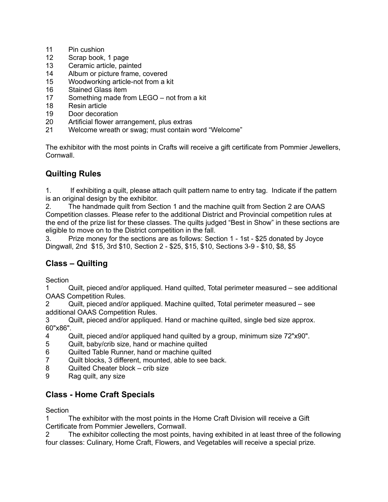- 11 Pin cushion
- 12 Scrap book, 1 page
- 13 Ceramic article, painted
- 14 Album or picture frame, covered
- 15 Woodworking article-not from a kit
- 16 Stained Glass item
- 17 Something made from LEGO not from a kit
- 18 Resin article
- 19 Door decoration
- 20 Artificial flower arrangement, plus extras
- 21 Welcome wreath or swag; must contain word "Welcome"

The exhibitor with the most points in Crafts will receive a gift certificate from Pommier Jewellers, Cornwall.

# Quilting Rules

1. If exhibiting a quilt, please attach quilt pattern name to entry tag. Indicate if the pattern is an original design by the exhibitor.

2. The handmade quilt from Section 1 and the machine quilt from Section 2 are OAAS Competition classes. Please refer to the additional District and Provincial competition rules at the end of the prize list for these classes. The quilts judged "Best in Show" in these sections are eligible to move on to the District competition in the fall.

3. Prize money for the sections are as follows: Section 1 - 1st - \$25 donated by Joyce Dingwall, 2nd \$15, 3rd \$10, Section 2 - \$25, \$15, \$10, Sections 3-9 - \$10, \$8, \$5

## Class – Quilting

Section

1 Quilt, pieced and/or appliqued. Hand quilted, Total perimeter measured – see additional OAAS Competition Rules.

2 Quilt, pieced and/or appliqued. Machine quilted, Total perimeter measured – see additional OAAS Competition Rules.

3 Quilt, pieced and/or appliqued. Hand or machine quilted, single bed size approx. 60"x86".

- 4 Quilt, pieced and/or appliqued hand quilted by a group, minimum size 72"x90".
- 5 Quilt, baby/crib size, hand or machine quilted
- 6 Quilted Table Runner, hand or machine quilted
- 7 Quilt blocks, 3 different, mounted, able to see back.
- 8 Quilted Cheater block crib size
- 9 Rag quilt, any size

## Class - Home Craft Specials

Section

1 The exhibitor with the most points in the Home Craft Division will receive a Gift Certificate from Pommier Jewellers, Cornwall.

2 The exhibitor collecting the most points, having exhibited in at least three of the following four classes: Culinary, Home Craft, Flowers, and Vegetables will receive a special prize.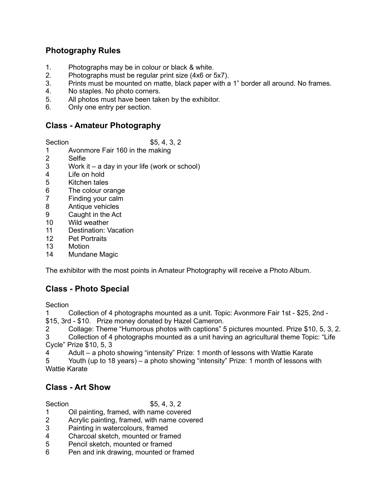### Photography Rules

- 1. Photographs may be in colour or black & white.
- 2. Photographs must be regular print size (4x6 or 5x7).
- 3. Prints must be mounted on matte, black paper with a 1" border all around. No frames.
- 4. No staples. No photo corners.
- 5. All photos must have been taken by the exhibitor.
- 6. Only one entry per section.

### Class - Amateur Photography

Section \$5, 4, 3, 2

- 1 Avonmore Fair 160 in the making
- 2 Selfie
- 3 Work it a day in your life (work or school)
- 4 Life on hold
- 5 Kitchen tales
- 6 The colour orange
- 7 Finding your calm
- 8 Antique vehicles
- 9 Caught in the Act
- 10 Wild weather
- 11 Destination: Vacation
- 12 Pet Portraits
- 13 Motion
- 14 Mundane Magic

The exhibitor with the most points in Amateur Photography will receive a Photo Album.

## Class - Photo Special

**Section** 

1 Collection of 4 photographs mounted as a unit. Topic: Avonmore Fair 1st - \$25, 2nd - \$15, 3rd - \$10. Prize money donated by Hazel Cameron.

2 Collage: Theme "Humorous photos with captions" 5 pictures mounted. Prize \$10, 5, 3, 2.

Collection of 4 photographs mounted as a unit having an agricultural theme Topic: "Life Cycle" Prize \$10, 5, 3

4 Adult – a photo showing "intensity" Prize: 1 month of lessons with Wattie Karate

5 Youth (up to 18 years) – a photo showing "intensity" Prize: 1 month of lessons with Wattie Karate

## Class - Art Show

- 1 Oil painting, framed, with name covered
- 2 Acrylic painting, framed, with name covered
- 3 Painting in watercolours, framed<br>4 Charcoal sketch mounted or fram
- Charcoal sketch, mounted or framed
- 5 Pencil sketch, mounted or framed
- 6 Pen and ink drawing, mounted or framed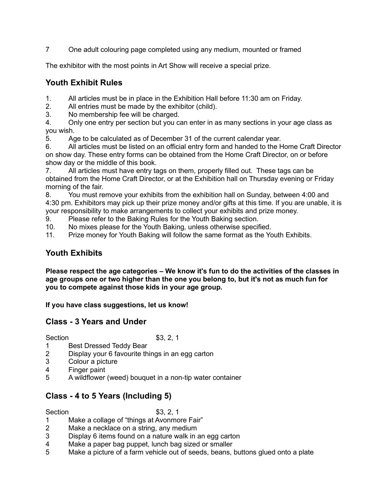7 One adult colouring page completed using any medium, mounted or framed

The exhibitor with the most points in Art Show will receive a special prize.

## Youth Exhibit Rules

1. All articles must be in place in the Exhibition Hall before 11:30 am on Friday.

2. All entries must be made by the exhibitor (child).

3. No membership fee will be charged.

4. Only one entry per section but you can enter in as many sections in your age class as you wish.

5. Age to be calculated as of December 31 of the current calendar year.

6. All articles must be listed on an official entry form and handed to the Home Craft Director on show day. These entry forms can be obtained from the Home Craft Director, on or before show day or the middle of this book.

7. All articles must have entry tags on them, properly filled out. These tags can be obtained from the Home Craft Director, or at the Exhibition hall on Thursday evening or Friday morning of the fair.

8. You must remove your exhibits from the exhibition hall on Sunday, between 4:00 and 4:30 pm. Exhibitors may pick up their prize money and/or gifts at this time. If you are unable, it is your responsibility to make arrangements to collect your exhibits and prize money.

9. Please refer to the Baking Rules for the Youth Baking section.

10. No mixes please for the Youth Baking, unless otherwise specified.

11. Prize money for Youth Baking will follow the same format as the Youth Exhibits.

# Youth Exhibits

Please respect the age categories – We know it's fun to do the activities of the classes in age groups one or two higher than the one you belong to, but it's not as much fun for you to compete against those kids in your age group.

If you have class suggestions, let us know!

## Class - 3 Years and Under

Section \$3, 2, 1

- 1 Best Dressed Teddy Bear
- 2 Display your 6 favourite things in an egg carton
- 3 Colour a picture
- 4 Finger paint
- 5 A wildflower (weed) bouquet in a non-tip water container

# Class - 4 to 5 Years (Including 5)

Section \$3, 2, 1

- 1 Make a collage of "things at Avonmore Fair"
- 2 Make a necklace on a string, any medium
- 3 Display 6 items found on a nature walk in an egg carton
- 4 Make a paper bag puppet, lunch bag sized or smaller
- 5 Make a picture of a farm vehicle out of seeds, beans, buttons glued onto a plate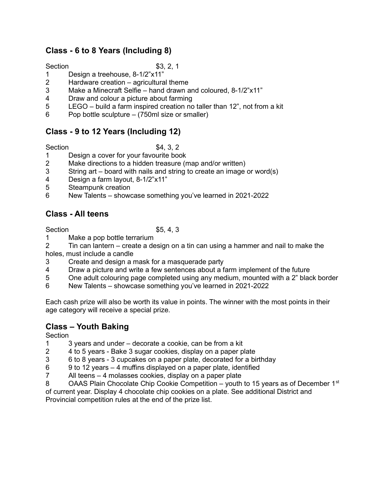# Class - 6 to 8 Years (Including 8)

Section \$3, 2, 1

- 1 Design a treehouse, 8-1/2"x11"
- 2 Hardware creation agricultural theme
- 3 Make a Minecraft Selfie hand drawn and coloured, 8-1/2"x11"
- 4 Draw and colour a picture about farming
- 5 LEGO build a farm inspired creation no taller than 12", not from a kit
- 6 Pop bottle sculpture (750ml size or smaller)

# Class - 9 to 12 Years (Including 12)

#### Section \$4, 3, 2

- 1 Design a cover for your favourite book
- 2 Make directions to a hidden treasure (map and/or written)
- 3 String art board with nails and string to create an image or word(s)
- 4 Design a farm layout, 8-1/2"x11"
- 5 Steampunk creation
- 6 New Talents showcase something you've learned in 2021-2022

# Class - All teens

Section \$5, 4, 3

- 1 Make a pop bottle terrarium
- 2 Tin can lantern create a design on a tin can using a hammer and nail to make the holes, must include a candle
- 3 Create and design a mask for a masquerade party
- 4 Draw a picture and write a few sentences about a farm implement of the future
- 5 One adult colouring page completed using any medium, mounted with a 2" black border
- 6 New Talents showcase something you've learned in 2021-2022

Each cash prize will also be worth its value in points. The winner with the most points in their age category will receive a special prize.

## Class – Youth Baking

Section

- 1 3 years and under decorate a cookie, can be from a kit
- 2 4 to 5 years Bake 3 sugar cookies, display on a paper plate
- 3 6 to 8 years 3 cupcakes on a paper plate, decorated for a birthday
- 6 9 to 12 years 4 muffins displayed on a paper plate, identified
- 7 All teens 4 molasses cookies, display on a paper plate
- 8 OAAS Plain Chocolate Chip Cookie Competition youth to 15 years as of December 1<sup>st</sup>

of current year. Display 4 chocolate chip cookies on a plate. See additional District and Provincial competition rules at the end of the prize list.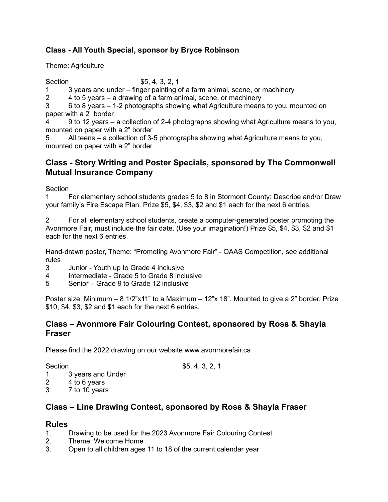### Class - All Youth Special, sponsor by Bryce Robinson

Theme: Agriculture

Section \$5, 4, 3, 2, 1

1 3 years and under – finger painting of a farm animal, scene, or machinery

2 4 to 5 years – a drawing of a farm animal, scene, or machinery

3 6 to 8 years – 1-2 photographs showing what Agriculture means to you, mounted on paper with a 2" border

4 9 to 12 years – a collection of 2-4 photographs showing what Agriculture means to you, mounted on paper with a 2" border

5 All teens – a collection of 3-5 photographs showing what Agriculture means to you, mounted on paper with a 2" border

### Class - Story Writing and Poster Specials, sponsored by The Commonwell Mutual Insurance Company

Section

1 For elementary school students grades 5 to 8 in Stormont County: Describe and/or Draw your family's Fire Escape Plan. Prize \$5, \$4, \$3, \$2 and \$1 each for the next 6 entries.

2 For all elementary school students, create a computer-generated poster promoting the Avonmore Fair, must include the fair date. (Use your imagination!) Prize \$5, \$4, \$3, \$2 and \$1 each for the next 6 entries.

Hand-drawn poster, Theme: "Promoting Avonmore Fair" - OAAS Competition, see additional rules

- 3 Junior Youth up to Grade 4 inclusive
- 4 Intermediate Grade 5 to Grade 8 inclusive
- 5 Senior Grade 9 to Grade 12 inclusive

Poster size: Minimum – 8 1/2"x11" to a Maximum – 12"x 18". Mounted to give a 2" border. Prize \$10, \$4, \$3, \$2 and \$1 each for the next 6 entries.

### Class – Avonmore Fair Colouring Contest, sponsored by Ross & Shayla Fraser

Please find the 2022 drawing on our website www.avonmorefair.ca

Section \$5, 4, 3, 2, 1

- 1 3 years and Under
- 2 4 to 6 years
- 3 7 to 10 years

## Class – Line Drawing Contest, sponsored by Ross & Shayla Fraser

#### Rules

- 1. Drawing to be used for the 2023 Avonmore Fair Colouring Contest
- 2. Theme: Welcome Home
- 3. Open to all children ages 11 to 18 of the current calendar year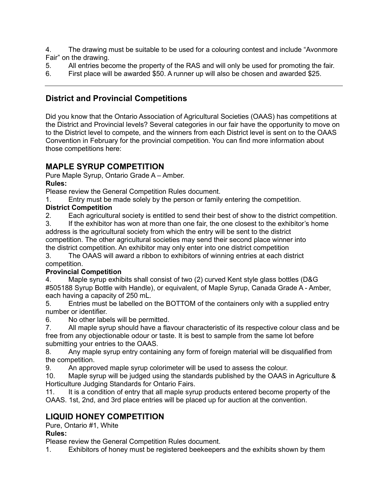4. The drawing must be suitable to be used for a colouring contest and include "Avonmore Fair" on the drawing.

5. All entries become the property of the RAS and will only be used for promoting the fair.

6. First place will be awarded \$50. A runner up will also be chosen and awarded \$25.

# District and Provincial Competitions

Did you know that the Ontario Association of Agricultural Societies (OAAS) has competitions at the District and Provincial levels? Several categories in our fair have the opportunity to move on to the District level to compete, and the winners from each District level is sent on to the OAAS Convention in February for the provincial competition. You can find more information about those competitions here:

### MAPLE SYRUP COMPETITION

Pure Maple Syrup, Ontario Grade A – Amber.

Rules:

Please review the General Competition Rules document.

1. Entry must be made solely by the person or family entering the competition.

### District Competition

2. Each agricultural society is entitled to send their best of show to the district competition.

3. If the exhibitor has won at more than one fair, the one closest to the exhibitor's home address is the agricultural society from which the entry will be sent to the district competition. The other agricultural societies may send their second place winner into the district competition. An exhibitor may only enter into one district competition

3. The OAAS will award a ribbon to exhibitors of winning entries at each district competition.

### Provincial Competition

4. Maple syrup exhibits shall consist of two (2) curved Kent style glass bottles (D&G #505188 Syrup Bottle with Handle), or equivalent, of Maple Syrup, Canada Grade A - Amber, each having a capacity of 250 mL.

5. Entries must be labelled on the BOTTOM of the containers only with a supplied entry number or identifier.

6. No other labels will be permitted.

7. All maple syrup should have a flavour characteristic of its respective colour class and be free from any objectionable odour or taste. It is best to sample from the same lot before submitting your entries to the OAAS.

8. Any maple syrup entry containing any form of foreign material will be disqualified from the competition.

9. An approved maple syrup colorimeter will be used to assess the colour.

10. Maple syrup will be judged using the standards published by the OAAS in Agriculture & Horticulture Judging Standards for Ontario Fairs.

11. It is a condition of entry that all maple syrup products entered become property of the OAAS. 1st, 2nd, and 3rd place entries will be placed up for auction at the convention.

## LIQUID HONEY COMPETITION

Pure, Ontario #1, White

#### Rules:

Please review the General Competition Rules document.

1. Exhibitors of honey must be registered beekeepers and the exhibits shown by them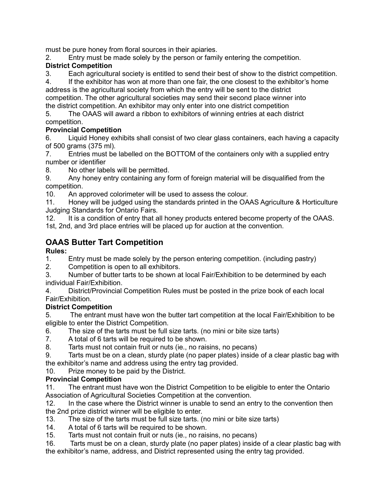must be pure honey from floral sources in their apiaries.

2. Entry must be made solely by the person or family entering the competition.

### District Competition

3. Each agricultural society is entitled to send their best of show to the district competition.

4. If the exhibitor has won at more than one fair, the one closest to the exhibitor's home address is the agricultural society from which the entry will be sent to the district

competition. The other agricultural societies may send their second place winner into the district competition. An exhibitor may only enter into one district competition

5. The OAAS will award a ribbon to exhibitors of winning entries at each district competition.

### Provincial Competition

6. Liquid Honey exhibits shall consist of two clear glass containers, each having a capacity of 500 grams (375 ml).

7. Entries must be labelled on the BOTTOM of the containers only with a supplied entry number or identifier

8. No other labels will be permitted.

9. Any honey entry containing any form of foreign material will be disqualified from the competition.

10. An approved colorimeter will be used to assess the colour.

11. Honey will be judged using the standards printed in the OAAS Agriculture & Horticulture Judging Standards for Ontario Fairs.

12. It is a condition of entry that all honey products entered become property of the OAAS. 1st, 2nd, and 3rd place entries will be placed up for auction at the convention.

# OAAS Butter Tart Competition

### Rules:

1. Entry must be made solely by the person entering competition. (including pastry)

2. Competition is open to all exhibitors.

3. Number of butter tarts to be shown at local Fair/Exhibition to be determined by each individual Fair/Exhibition.

4. District/Provincial Competition Rules must be posted in the prize book of each local Fair/Exhibition.

## District Competition

5. The entrant must have won the butter tart competition at the local Fair/Exhibition to be eligible to enter the District Competition.

6. The size of the tarts must be full size tarts. (no mini or bite size tarts)

- 7. A total of 6 tarts will be required to be shown.
- 8. Tarts must not contain fruit or nuts (ie., no raisins, no pecans)
- 9. Tarts must be on a clean, sturdy plate (no paper plates) inside of a clear plastic bag with the exhibitor's name and address using the entry tag provided.

10. Prize money to be paid by the District.

## Provincial Competition

11. The entrant must have won the District Competition to be eligible to enter the Ontario Association of Agricultural Societies Competition at the convention.

12. In the case where the District winner is unable to send an entry to the convention then

- the 2nd prize district winner will be eligible to enter.<br>13. The size of the tarts must be full size tarts. ( The size of the tarts must be full size tarts. (no mini or bite size tarts)
- 14. A total of 6 tarts will be required to be shown.
- 15. Tarts must not contain fruit or nuts (ie., no raisins, no pecans)

16. Tarts must be on a clean, sturdy plate (no paper plates) inside of a clear plastic bag with the exhibitor's name, address, and District represented using the entry tag provided.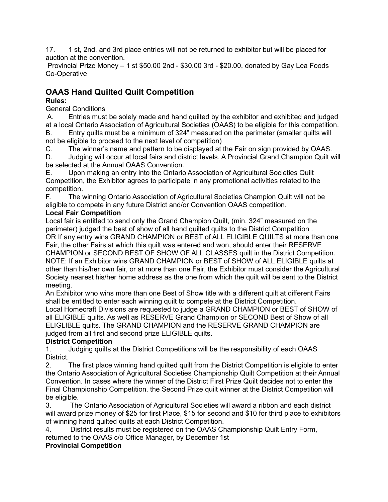17. 1 st, 2nd, and 3rd place entries will not be returned to exhibitor but will be placed for auction at the convention.

 Provincial Prize Money – 1 st \$50.00 2nd - \$30.00 3rd - \$20.00, donated by Gay Lea Foods Co-Operative

# OAAS Hand Quilted Quilt Competition

### Rules:

General Conditions

 A. Entries must be solely made and hand quilted by the exhibitor and exhibited and judged at a local Ontario Association of Agricultural Societies (OAAS) to be eligible for this competition. B. Entry quilts must be a minimum of 324" measured on the perimeter (smaller quilts will

not be eligible to proceed to the next level of competition)

C. The winner's name and pattern to be displayed at the Fair on sign provided by OAAS.

D. Judging will occur at local fairs and district levels. A Provincial Grand Champion Quilt will be selected at the Annual OAAS Convention.

E. Upon making an entry into the Ontario Association of Agricultural Societies Quilt Competition, the Exhibitor agrees to participate in any promotional activities related to the competition.

F. The winning Ontario Association of Agricultural Societies Champion Quilt will not be eligible to compete in any future District and/or Convention OAAS competition.

### Local Fair Competition

Local fair is entitled to send only the Grand Champion Quilt, (min. 324" measured on the perimeter) judged the best of show of all hand quilted quilts to the District Competition . OR If any entry wins GRAND CHAMPION or BEST of ALL ELIGIBLE QUILTS at more than one Fair, the other Fairs at which this quilt was entered and won, should enter their RESERVE CHAMPION or SECOND BEST OF SHOW OF ALL CLASSES quilt in the District Competition. NOTE: If an Exhibitor wins GRAND CHAMPION or BEST of SHOW of ALL ELIGIBLE quilts at other than his/her own fair, or at more than one Fair, the Exhibitor must consider the Agricultural Society nearest his/her home address as the one from which the quilt will be sent to the District meeting.

An Exhibitor who wins more than one Best of Show title with a different quilt at different Fairs shall be entitled to enter each winning quilt to compete at the District Competition. Local Homecraft Divisions are requested to judge a GRAND CHAMPION or BEST of SHOW of all ELIGIBLE quilts. As well as RESERVE Grand Champion or SECOND Best of Show of all ELIGLIBLE quilts. The GRAND CHAMPION and the RESERVE GRAND CHAMPION are judged from all first and second prize ELIGIBLE quilts.

### District Competition

1. Judging quilts at the District Competitions will be the responsibility of each OAAS District.

2. The first place winning hand quilted quilt from the District Competition is eligible to enter the Ontario Association of Agricultural Societies Championship Quilt Competition at their Annual Convention. In cases where the winner of the District First Prize Quilt decides not to enter the Final Championship Competition, the Second Prize quilt winner at the District Competition will be eligible.

3. The Ontario Association of Agricultural Societies will award a ribbon and each district will award prize money of \$25 for first Place, \$15 for second and \$10 for third place to exhibitors of winning hand quilted quilts at each District Competition.

4. District results must be registered on the OAAS Championship Quilt Entry Form, returned to the OAAS c/o Office Manager, by December 1st

### Provincial Competition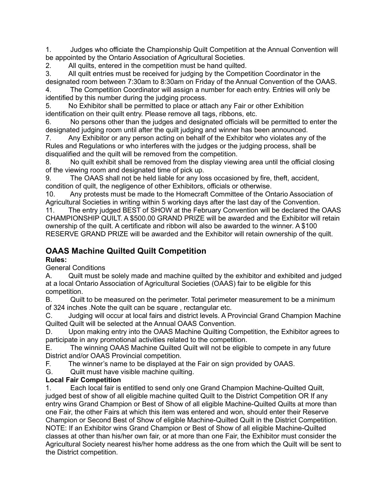1. Judges who officiate the Championship Quilt Competition at the Annual Convention will be appointed by the Ontario Association of Agricultural Societies.

2. All quilts, entered in the competition must be hand quilted.

3. All quilt entries must be received for judging by the Competition Coordinator in the designated room between 7:30am to 8:30am on Friday of the Annual Convention of the OAAS. 4. The Competition Coordinator will assign a number for each entry. Entries will only be identified by this number during the judging process.

5. No Exhibitor shall be permitted to place or attach any Fair or other Exhibition identification on their quilt entry. Please remove all tags, ribbons, etc.

6. No persons other than the judges and designated officials will be permitted to enter the designated judging room until after the quilt judging and winner has been announced.

7. Any Exhibitor or any person acting on behalf of the Exhibitor who violates any of the Rules and Regulations or who interferes with the judges or the judging process, shall be disqualified and the quilt will be removed from the competition.

8. No quilt exhibit shall be removed from the display viewing area until the official closing of the viewing room and designated time of pick up.

9. The OAAS shall not be held liable for any loss occasioned by fire, theft, accident, condition of quilt, the negligence of other Exhibitors, officials or otherwise.

10. Any protests must be made to the Homecraft Committee of the Ontario Association of Agricultural Societies in writing within 5 working days after the last day of the Convention.

11. The entry judged BEST of SHOW at the February Convention will be declared the OAAS CHAMPIONSHIP QUILT. A \$500.00 GRAND PRIZE will be awarded and the Exhibitor will retain ownership of the quilt. A certificate and ribbon will also be awarded to the winner. A \$100 RESERVE GRAND PRIZE will be awarded and the Exhibitor will retain ownership of the quilt.

# OAAS Machine Quilted Quilt Competition

Rules:

General Conditions

A. Quilt must be solely made and machine quilted by the exhibitor and exhibited and judged at a local Ontario Association of Agricultural Societies (OAAS) fair to be eligible for this competition.

B. Quilt to be measured on the perimeter. Total perimeter measurement to be a minimum of 324 inches .Note the quilt can be square , rectangular etc.

C. Judging will occur at local fairs and district levels. A Provincial Grand Champion Machine Quilted Quilt will be selected at the Annual OAAS Convention.

D. Upon making entry into the OAAS Machine Quilting Competition, the Exhibitor agrees to participate in any promotional activities related to the competition.

E. The winning OAAS Machine Quilted Quilt will not be eligible to compete in any future District and/or OAAS Provincial competition.

F. The winner's name to be displayed at the Fair on sign provided by OAAS.

G. Quilt must have visible machine quilting.

### Local Fair Competition

1. Each local fair is entitled to send only one Grand Champion Machine-Quilted Quilt, judged best of show of all eligible machine quilted Quilt to the District Competition OR If any entry wins Grand Champion or Best of Show of all eligible Machine-Quilted Quilts at more than one Fair, the other Fairs at which this item was entered and won, should enter their Reserve Champion or Second Best of Show of eligible Machine-Quilted Quilt in the District Competition. NOTE: If an Exhibitor wins Grand Champion or Best of Show of all eligible Machine-Quilted classes at other than his/her own fair, or at more than one Fair, the Exhibitor must consider the Agricultural Society nearest his/her home address as the one from which the Quilt will be sent to the District competition.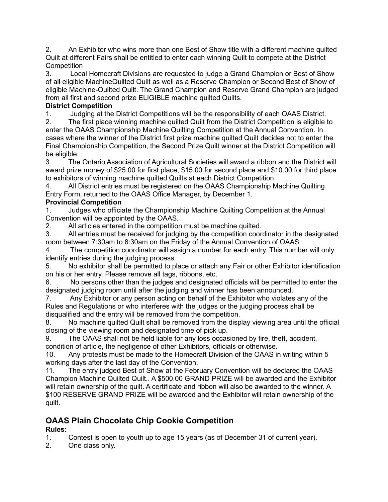2. An Exhibitor who wins more than one Best of Show title with a different machine quilted Quilt at different Fairs shall be entitled to enter each winning Quilt to compete at the District **Competition** 

3. Local Homecraft Divisions are requested to judge a Grand Champion or Best of Show of all eligible MachineQuilted Quilt as well as a Reserve Champion or Second Best of Show of eligible Machine-Quilted Quilt. The Grand Champion and Reserve Grand Champion are judged from all first and second prize ELIGIBLE machine quilted Quilts.

### District Competition

1. Judging at the District Competitions will be the responsibility of each OAAS District.

2. The first place winning machine quilted Quilt from the District Competition is eligible to enter the OAAS Championship Machine Quilting Competition at the Annual Convention. In cases where the winner of the District first prize machine quilted Quilt decides not to enter the Final Championship Competition, the Second Prize Quilt winner at the District Competition will be eligible.

3. The Ontario Association of Agricultural Societies will award a ribbon and the District will award prize money of \$25.00 for first place, \$15.00 for second place and \$10.00 for third place to exhibitors of winning machine quilted Quilts at each District Competition.

4. All District entries must be registered on the OAAS Championship Machine Quilting Entry Form, returned to the OAAS Office Manager, by December 1.

### Provincial Competition

1. Judges who officiate the Championship Machine Quilting Competition at the Annual Convention will be appointed by the OAAS.

2. All articles entered in the competition must be machine quilted.

3. All entries must be received for judging by the competition coordinator in the designated room between 7:30am to 8:30am on the Friday of the Annual Convention of OAAS.

4. The competition coordinator will assign a number for each entry. This number will only identify entries during the judging process.

5. No exhibitor shall be permitted to place or attach any Fair or other Exhibitor identification on his or her entry. Please remove all tags, ribbons, etc.

6. No persons other than the judges and designated officials will be permitted to enter the designated judging room until after the judging and winner has been announced.

7. Any Exhibitor or any person acting on behalf of the Exhibitor who violates any of the Rules and Regulations or who interferes with the judges or the judging process shall be disqualified and the entry will be removed from the competition.

8. No machine quilted Quilt shall be removed from the display viewing area until the official closing of the viewing room and designated time of pick up.

9. The OAAS shall not be held liable for any loss occasioned by fire, theft, accident, condition of article, the negligence of other Exhibitors, officials or otherwise.

10. Any protests must be made to the Homecraft Division of the OAAS in writing within 5 working days after the last day of the Convention.

11. The entry judged Best of Show at the February Convention will be declared the OAAS Champion Machine Quilted Quilt.. A \$500.00 GRAND PRIZE will be awarded and the Exhibitor will retain ownership of the quilt. A certificate and ribbon will also be awarded to the winner. A \$100 RESERVE GRAND PRIZE will be awarded and the Exhibitor will retain ownership of the quilt.

# OAAS Plain Chocolate Chip Cookie Competition

## Rules:

1. Contest is open to youth up to age 15 years (as of December 31 of current year).

2. One class only.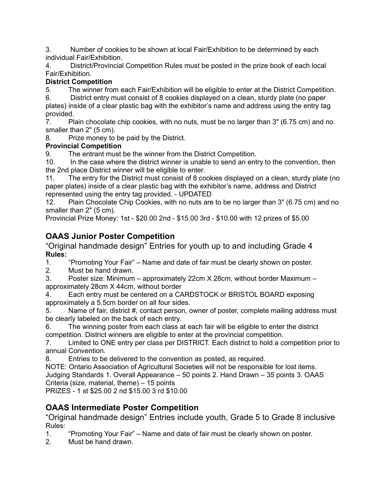3. Number of cookies to be shown at local Fair/Exhibition to be determined by each individual Fair/Exhibition.

4. District/Provincial Competition Rules must be posted in the prize book of each local Fair/Exhibition.

### District Competition

5. The winner from each Fair/Exhibition will be eligible to enter at the District Competition.

6. District entry must consist of 8 cookies displayed on a clean, sturdy plate (no paper plates) inside of a clear plastic bag with the exhibitor's name and address using the entry tag provided.

7. Plain chocolate chip cookies, with no nuts, must be no larger than 3" (6.75 cm) and no smaller than 2" (5 cm).

8. Prize money to be paid by the District.

### Provincial Competition

9. The entrant must be the winner from the District Competition.

10. In the case where the district winner is unable to send an entry to the convention, then the 2nd place District winner will be eligible to enter.

11. The entry for the District must consist of 8 cookies displayed on a clean, sturdy plate (no paper plates) inside of a clear plastic bag with the exhibitor's name, address and District represented using the entry tag provided. - UPDATED

12. Plain Chocolate Chip Cookies, with no nuts are to be no larger than 3" (6.75 cm) and no smaller than 2" (5 cm).

Provincial Prize Money: 1st - \$20.00 2nd - \$15.00 3rd - \$10.00 with 12 prizes of \$5.00

# OAAS Junior Poster Competition

"Original handmade design" Entries for youth up to and including Grade 4 Rules:

1. "Promoting Your Fair" – Name and date of fair must be clearly shown on poster.

2. Must be hand drawn.

3. Poster size: Minimum – approximately 22cm X 28cm, without border Maximum – approximately 28cm X 44cm, without border

4. Each entry must be centered on a CARDSTOCK or BRISTOL BOARD exposing approximately a 5.5cm border on all four sides.

5. Name of fair, district #, contact person, owner of poster, complete mailing address must be clearly labeled on the back of each entry.

6. The winning poster from each class at each fair will be eligible to enter the district competition. District winners are eligible to enter at the provincial competition.

7. Limited to ONE entry per class per DISTRICT. Each district to hold a competition prior to annual Convention.

8. Entries to be delivered to the convention as posted, as required.

NOTE: Ontario Association of Agricultural Societies will not be responsible for lost items. Judging Standards 1. Overall Appearance – 50 points 2. Hand Drawn – 35 points 3. OAAS Criteria (size, material, theme) – 15 points

PRIZES - 1 st \$25.00 2 nd \$15.00 3 rd \$10.00

# OAAS Intermediate Poster Competition

"Original handmade design" Entries include youth, Grade 5 to Grade 8 inclusive Rules:

1. "Promoting Your Fair" – Name and date of fair must be clearly shown on poster.

2. Must be hand drawn.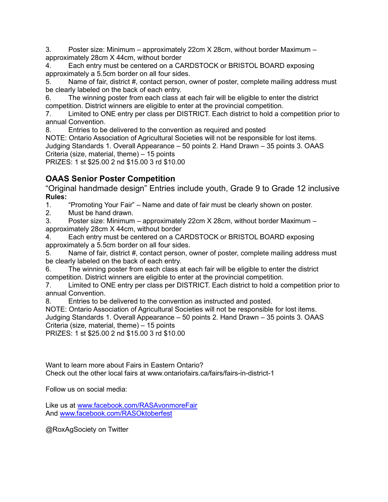3. Poster size: Minimum – approximately 22cm X 28cm, without border Maximum – approximately 28cm X 44cm, without border

4. Each entry must be centered on a CARDSTOCK or BRISTOL BOARD exposing approximately a 5.5cm border on all four sides.

5. Name of fair, district #, contact person, owner of poster, complete mailing address must be clearly labeled on the back of each entry.

6. The winning poster from each class at each fair will be eligible to enter the district competition. District winners are eligible to enter at the provincial competition.

7. Limited to ONE entry per class per DISTRICT. Each district to hold a competition prior to annual Convention.

8. Entries to be delivered to the convention as required and posted

NOTE: Ontario Association of Agricultural Societies will not be responsible for lost items. Judging Standards 1. Overall Appearance – 50 points 2. Hand Drawn – 35 points 3. OAAS Criteria (size, material, theme) – 15 points

PRIZES: 1 st \$25.00 2 nd \$15.00 3 rd \$10.00

## OAAS Senior Poster Competition

"Original handmade design" Entries include youth, Grade 9 to Grade 12 inclusive Rules:

1. "Promoting Your Fair" – Name and date of fair must be clearly shown on poster.

2. Must be hand drawn.

3. Poster size: Minimum – approximately 22cm X 28cm, without border Maximum – approximately 28cm X 44cm, without border

4. Each entry must be centered on a CARDSTOCK or BRISTOL BOARD exposing approximately a 5.5cm border on all four sides.

5. Name of fair, district #, contact person, owner of poster, complete mailing address must be clearly labeled on the back of each entry.

6. The winning poster from each class at each fair will be eligible to enter the district competition. District winners are eligible to enter at the provincial competition.

7. Limited to ONE entry per class per DISTRICT. Each district to hold a competition prior to annual Convention.

8. Entries to be delivered to the convention as instructed and posted.

NOTE: Ontario Association of Agricultural Societies will not be responsible for lost items. Judging Standards 1. Overall Appearance – 50 points 2. Hand Drawn – 35 points 3. OAAS Criteria (size, material, theme) – 15 points

PRIZES: 1 st \$25.00 2 nd \$15.00 3 rd \$10.00

Want to learn more about Fairs in Eastern Ontario? Check out the other local fairs at www.ontariofairs.ca/fairs/fairs-in-district-1

Follow us on social media:

Like us at www.facebook.com/RASAvonmoreFair And www.facebook.com/RASOktoberfest

@RoxAgSociety on Twitter